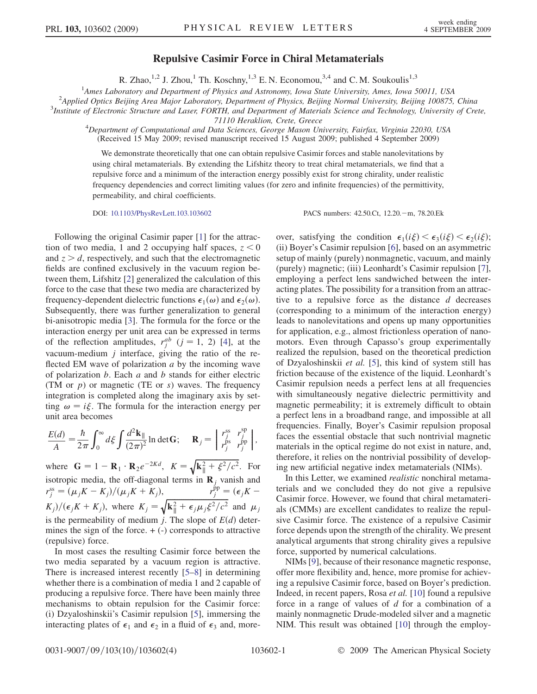## Repulsive Casimir Force in Chiral Metamaterials

R. Zhao,<sup>1,2</sup> J. Zhou,<sup>1</sup> Th. Koschny,<sup>1,3</sup> E. N. Economou,<sup>3,4</sup> and C. M. Soukoulis<sup>1,3</sup>

<sup>1</sup>Ames Laboratory and Department of Physics and Astronomy, Iowa State University, Ames, Iowa 50011, USA<br><sup>2</sup>Applied Optics Beijing Area Major Laboratory, Department of Physics, Beijing Normal University, Beijing 100875

 $^2$ Applied Optics Beijing Area Major Laboratory, Department of Physics, Beijing Normal University, Beijing 100875, China

 $3$ Institute of Electronic Structure and Laser, FORTH, and Department of Materials Science and Technology, University of Crete,

71110 Heraklion, Crete, Greece<br><sup>4</sup>Department of Computational and Data Sciences, George Mason University, Fairfax, Virginia 22030, USA (Received 15 May 2009; revised manuscript received 15 August 2009; published 4 September 2009)

We demonstrate theoretically that one can obtain repulsive Casimir forces and stable nanolevitations by using chiral metamaterials. By extending the Lifshitz theory to treat chiral metamaterials, we find that a repulsive force and a minimum of the interaction energy possibly exist for strong chirality, under realistic frequency dependencies and correct limiting values (for zero and infinite frequencies) of the permittivity, permeability, and chiral coefficients.

DOI: [10.1103/PhysRevLett.103.103602](http://dx.doi.org/10.1103/PhysRevLett.103.103602) PACS numbers: 42.50.Ct, 12.20. - m, 78.20.Ek

Following the original Casimir paper [[1\]](#page-3-0) for the attraction of two media, 1 and 2 occupying half spaces,  $z < 0$ and  $z > d$ , respectively, and such that the electromagnetic fields are confined exclusively in the vacuum region between them, Lifshitz [\[2\]](#page-3-1) generalized the calculation of this force to the case that these two media are characterized by frequency-dependent dielectric functions  $\epsilon_1(\omega)$  and  $\epsilon_2(\omega)$ . Subsequently, there was further generalization to general bi-anisotropic media [[3\]](#page-3-2). The formula for the force or the interaction energy per unit area can be expressed in terms of the reflection amplitudes,  $r_j^{ab}$  ( $j = 1, 2$ ) [[4\]](#page-3-3), at the vacuum-medium  $j$  interface, giving the ratio of the reflected EM wave of polarization  $a$  by the incoming wave of polarization  $b$ . Each  $a$  and  $b$  stands for either electric (TM or  $p$ ) or magnetic (TE or  $s$ ) waves. The frequency integration is completed along the imaginary axis by setting  $\omega = i \xi$ . The formula for the interaction energy per unit area becomes

$$
\frac{E(d)}{A} = \frac{\hbar}{2\pi} \int_0^\infty d\xi \int \frac{d^2 \mathbf{k}_{\parallel}}{(2\pi)^2} \ln \det \mathbf{G}; \quad \mathbf{R}_j = \begin{bmatrix} r_j^{\rm ss} & r_j^{\rm sp} \\ r_j^{\rm ps} & r_j^{\rm pp} \end{bmatrix},
$$

where  $\mathbf{G} = 1 - \mathbf{R}_1 \cdot \mathbf{R}_2 e^{-2Kd}$ ,  $K = \sqrt{\mathbf{k}_{\parallel}^2 + \xi^2/c^2}$ . For isotropic media, the off-diagonal terms in  $\mathbf{R}_i$  vanish and  $r_j^{\text{ss}} = (\mu_j K - K_j)/(\mu_j K + K_j),$   $r_j^{\text{pp}} = (\epsilon_j K K_j/\sqrt{(\epsilon_j K + K_j)}$ , where  $K_j = \sqrt{k_{\parallel}^2 + \epsilon_j \mu_j \xi^2/c^2}$  and  $\mu_j$ is the permeability of medium j. The slope of  $E(d)$  determines the sign of the force.  $+$  (-) corresponds to attractive (repulsive) force.

In most cases the resulting Casimir force between the two media separated by a vacuum region is attractive. There is increased interest recently [\[5](#page-3-4)[–8\]](#page-3-5) in determining whether there is a combination of media 1 and 2 capable of producing a repulsive force. There have been mainly three mechanisms to obtain repulsion for the Casimir force: (i) Dzyaloshinskii's Casimir repulsion [\[5](#page-3-4)], immersing the interacting plates of  $\epsilon_1$  and  $\epsilon_2$  in a fluid of  $\epsilon_3$  and, more-

over, satisfying the condition  $\epsilon_1(i\xi) < \epsilon_3(i\xi) < \epsilon_2(i\xi)$ ; (ii) Boyer's Casimir repulsion [[6\]](#page-3-6), based on an asymmetric setup of mainly (purely) nonmagnetic, vacuum, and mainly (purely) magnetic; (iii) Leonhardt's Casimir repulsion [[7\]](#page-3-7), employing a perfect lens sandwiched between the interacting plates. The possibility for a transition from an attractive to a repulsive force as the distance  $d$  decreases (corresponding to a minimum of the interaction energy) leads to nanolevitations and opens up many opportunities for application, e.g., almost frictionless operation of nanomotors. Even through Capasso's group experimentally realized the repulsion, based on the theoretical prediction of Dzyaloshinskii et al. [\[5](#page-3-4)], this kind of system still has friction because of the existence of the liquid. Leonhardt's Casimir repulsion needs a perfect lens at all frequencies with simultaneously negative dielectric permittivity and magnetic permeability; it is extremely difficult to obtain a perfect lens in a broadband range, and impossible at all frequencies. Finally, Boyer's Casimir repulsion proposal faces the essential obstacle that such nontrivial magnetic materials in the optical regime do not exist in nature, and, therefore, it relies on the nontrivial possibility of developing new artificial negative index metamaterials (NIMs).

In this Letter, we examined realistic nonchiral metamaterials and we concluded they do not give a repulsive Casimir force. However, we found that chiral metamaterials (CMMs) are excellent candidates to realize the repulsive Casimir force. The existence of a repulsive Casimir force depends upon the strength of the chirality. We present analytical arguments that strong chirality gives a repulsive force, supported by numerical calculations.

NIMs [\[9\]](#page-3-8), because of their resonance magnetic response, offer more flexibility and, hence, more promise for achieving a repulsive Casimir force, based on Boyer's prediction. Indeed, in recent papers, Rosa et al. [\[10](#page-3-9)] found a repulsive force in a range of values of d for a combination of a mainly nonmagnetic Drude-modeled silver and a magnetic NIM. This result was obtained [\[10\]](#page-3-9) through the employ-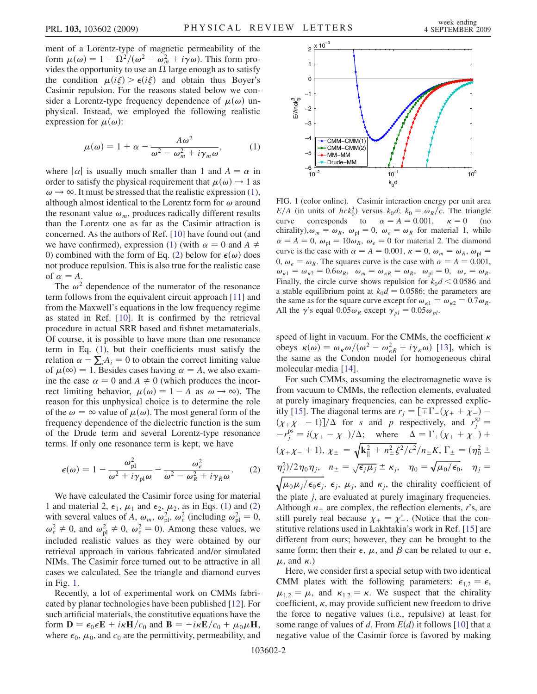ment of a Lorentz-type of magnetic permeability of the form  $\mu(\omega) = 1 - \Omega^2/(\omega^2 - \omega_m^2 + i\gamma \omega)$ . This form provides the opportunity to use an  $\Omega$  large enough as to satisfy the condition  $\mu(i\xi) > \epsilon(i\xi)$  and obtain thus Boyer's Casimir repulsion. For the reasons stated below we consider a Lorentz-type frequency dependence of  $\mu(\omega)$  unphysical. Instead, we employed the following realistic expression for  $\mu(\omega)$ :

<span id="page-1-0"></span>
$$
\mu(\omega) = 1 + \alpha - \frac{A\omega^2}{\omega^2 - \omega_m^2 + i\gamma_m\omega},
$$
 (1)

where  $|\alpha|$  is usually much smaller than 1 and  $A = \alpha$  in order to satisfy the physical requirement that  $\mu(\omega) \rightarrow 1$  as  $\omega \rightarrow \infty$ . It must be stressed that the realistic expression ([1\)](#page-1-0), although almost identical to the Lorentz form for  $\omega$  around the resonant value  $\omega_m$ , produces radically different results than the Lorentz one as far as the Casimir attraction is concerned. As the authors of Ref. [\[10\]](#page-3-9) have found out (and we have confirmed), expression [\(1](#page-1-0)) (with  $\alpha = 0$  and  $A \neq 0$ 0) combined with the form of Eq. ([2](#page-1-1)) below for  $\epsilon(\omega)$  does not produce repulsion. This is also true for the realistic case of  $\alpha = A$ .

The  $\omega^2$  dependence of the numerator of the resonance term follows from the equivalent circuit approach [\[11\]](#page-3-10) and from the Maxwell's equations in the low frequency regime as stated in Ref. [\[10\]](#page-3-9). It is confirmed by the retrieval procedure in actual SRR based and fishnet metamaterials. Of course, it is possible to have more than one resonance term in Eq. ([1](#page-1-0)), but their coefficients must satisfy the relation  $\alpha - \sum_i A_i = 0$  to obtain the correct limiting value of  $\mu(\infty) = 1$ . Besides cases having  $\alpha = A$ , we also examine the case  $\alpha = 0$  and  $A \neq 0$  (which produces the incorrect limiting behavior,  $\mu(\omega) = 1 - A$  as  $\omega \to \infty$ ). The reason for this unphysical choice is to determine the role of the  $\omega = \infty$  value of  $\mu(\omega)$ . The most general form of the frequency dependence of the dielectric function is the sum of the Drude term and several Lorentz-type resonance terms. If only one resonance term is kept, we have

<span id="page-1-1"></span>
$$
\epsilon(\omega) = 1 - \frac{\omega_{\text{pl}}^2}{\omega^2 + i\gamma_{\text{pl}}\omega} - \frac{\omega_e^2}{\omega^2 - \omega_R^2 + i\gamma_R\omega}.
$$
 (2)

We have calculated the Casimir force using for material 1 and material 2,  $\epsilon_1$ ,  $\mu_1$  and  $\epsilon_2$ ,  $\mu_2$ , as in Eqs. [\(1](#page-1-0)) and [\(2\)](#page-1-1) with several values of A,  $\omega_m$ ,  $\omega_{\text{pl}}^2$ ,  $\omega_e^2$  (including  $\omega_{\text{pl}}^2 = 0$ ,  $\omega_e^2 \neq 0$ , and  $\omega_{\text{pl}}^2 \neq 0$ ,  $\omega_e^2 = 0$ ). Among these values, we included realistic values as they were obtained by our retrieval approach in various fabricated and/or simulated NIMs. The Casimir force turned out to be attractive in all cases we calculated. See the triangle and diamond curves in Fig. [1.](#page-1-2)

Recently, a lot of experimental work on CMMs fabricated by planar technologies have been published [[12](#page-3-11)]. For such artificial materials, the constitutive equations have the form  $\mathbf{D} = \epsilon_0 \epsilon \mathbf{E} + i\kappa \mathbf{H}/c_0$  and  $\mathbf{B} = -i\kappa \mathbf{E}/c_0 + \mu_0 \mu \mathbf{H}$ , where  $\epsilon_0$ ,  $\mu_0$ , and  $c_0$  are the permittivity, permeability, and

<span id="page-1-2"></span>

FIG. 1 (color online). Casimir interaction energy per unit area  $E/A$  (in units of  $hck_0^3$ ) versus  $k_0d$ ;  $k_0 = \omega_R/c$ . The triangle curve corresponds to  $\alpha = A = 0.001$ ,  $\kappa = 0$  (no chirality),  $\omega_m = \omega_R$ ,  $\omega_{\text{pl}} = 0$ ,  $\omega_e = \omega_R$  for material 1, while  $\alpha = A = 0$ ,  $\omega_{\text{pl}} = 10 \omega_R$ ,  $\omega_e = 0$  for material 2. The diamond curve is the case with  $\alpha = A = 0.001$ ,  $\kappa = 0$ ,  $\omega_m = \omega_R$ ,  $\omega_{\text{nl}} =$ 0,  $\omega_e = \omega_R$ . The squares curve is the case with  $\alpha = A = 0.001$ ,  $\omega_{\kappa 1} = \omega_{\kappa 2} = 0.6 \omega_R$ ,  $\omega_m = \omega_{\kappa R} = \omega_R$ ,  $\omega_{\text{pl}} = 0$ ,  $\omega_e = \omega_R$ . Finally, the circle curve shows repulsion for  $k_0d < 0.0586$  and a stable equilibrium point at  $k_0d = 0.0586$ ; the parameters are the same as for the square curve except for  $\omega_{\kappa1} = \omega_{\kappa2} = 0.7 \omega_R$ . All the  $\gamma$ 's equal  $0.05\omega_R$  except  $\gamma_{pl} = 0.05\omega_{pl}$ .

speed of light in vacuum. For the CMMs, the coefficient  $\kappa$ obeys  $\kappa(\omega) = \omega_{\kappa}\omega/(\omega^2 - \omega_{\kappa R}^2 + i\gamma_{\kappa}\omega)$  [\[13\]](#page-3-12), which is the same as the Condon model for homogeneous chiral molecular media [\[14\]](#page-3-13).

For such CMMs, assuming the electromagnetic wave is from vacuum to CMMs, the reflection elements, evaluated at purely imaginary frequencies, can be expressed explic-itly [\[15\]](#page-3-14). The diagonal terms are  $r_j = [\pm \Gamma](\chi_+ + \chi_-) (\chi_{+}\chi_{-}-1)/\Delta$  for s and p respectively, and  $r_j^{\text{sp}}=$  $-r_j^{\text{ps}} = i(\chi_+ - \chi_-)/\Delta$ ; where  $\Delta = \Gamma_+(\chi_+ + \chi_-) + \frac{1}{2}$  $(\chi_+\chi_-+1), \chi_\pm = \sqrt{k_\parallel^2 + n_\pm^2 \xi^2/c^2}/n_\pm K, \Gamma_\pm = (\eta_0^2 \pm \eta_0^2)$  $\langle \eta_j^2 \rangle / 2 \eta_0 \eta_j$ ,  $n_{\pm} = \sqrt{\epsilon_j \mu_j} \pm \kappa_j$ ,  $\eta_0 = \sqrt{\mu_0 / \epsilon_0}$ ,  $\eta_j =$  $\sqrt{\mu_0\mu_j/\epsilon_0\epsilon_j}$ .  $\epsilon_j$ ,  $\mu_j$ , and  $\kappa_j$ , the chirality coefficient of the plate j, are evaluated at purely imaginary frequencies. Although  $n_{\pm}$  are complex, the reflection elements, r's, are still purely real because  $\chi_{+} = \chi_{-}^{*}$ . (Notice that the constitutive relations used in Lakhtakia's work in Ref. [[15](#page-3-14)] are different from ours; however, they can be brought to the same form; then their  $\epsilon$ ,  $\mu$ , and  $\beta$  can be related to our  $\epsilon$ ,  $\mu$ , and  $\kappa$ .)

Here, we consider first a special setup with two identical CMM plates with the following parameters:  $\epsilon_{1,2} = \epsilon$ ,  $\mu_{1,2} = \mu$ , and  $\kappa_{1,2} = \kappa$ . We suspect that the chirality coefficient,  $\kappa$ , may provide sufficient new freedom to drive the force to negative values (i.e., repulsive) at least for some range of values of d. From  $E(d)$  it follows [[10](#page-3-9)] that a negative value of the Casimir force is favored by making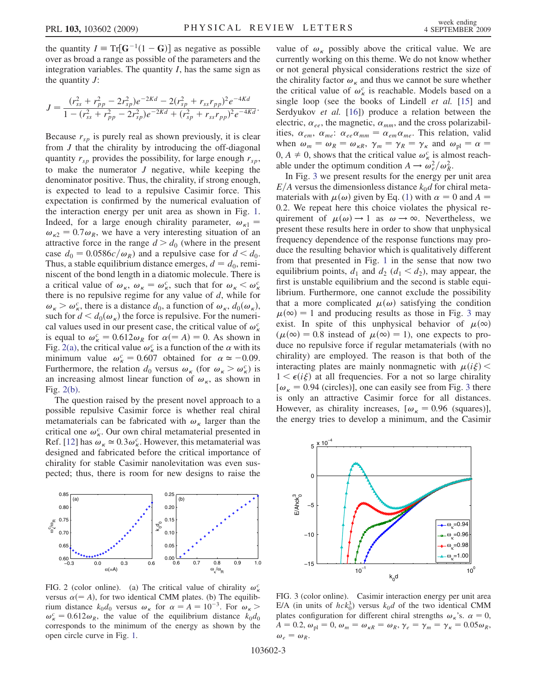the quantity  $I = \text{Tr}[\mathbf{G}^{-1}(1 - \mathbf{G})]$  as negative as possible over as broad a range as possible of the parameters and the integration variables. The quantity  $I$ , has the same sign as the quantity  $J$ :

$$
J = \frac{(r_{ss}^2 + r_{pp}^2 - 2r_{sp}^2)e^{-2Kd} - 2(r_{sp}^2 + r_{ss}r_{pp})^2e^{-4Kd}}{1 - (r_{ss}^2 + r_{pp}^2 - 2r_{sp}^2)e^{-2Kd} + (r_{sp}^2 + r_{ss}r_{pp})^2e^{-4Kd}}.
$$

Because  $r_{sp}$  is purely real as shown previously, it is clear from J that the chirality by introducing the off-diagonal quantity  $r_{sp}$  provides the possibility, for large enough  $r_{sp}$ , to make the numerator  $J$  negative, while keeping the denominator positive. Thus, the chirality, if strong enough, is expected to lead to a repulsive Casimir force. This expectation is confirmed by the numerical evaluation of the interaction energy per unit area as shown in Fig. [1](#page-1-2). Indeed, for a large enough chirality parameter,  $\omega_{\kappa 1}$  =  $\omega_{\kappa2} = 0.7 \omega_R$ , we have a very interesting situation of an attractive force in the range  $d > d_0$  (where in the present case  $d_0 = 0.0586c/\omega_R$ ) and a repulsive case for  $d < d_0$ . Thus, a stable equilibrium distance emerges,  $d = d_0$ , reminiscent of the bond length in a diatomic molecule. There is a critical value of  $\omega_{\kappa}$ ,  $\omega_{\kappa} = \omega_{\kappa}^c$ , such that for  $\omega_{\kappa} < \omega_{\kappa}^c$ there is no repulsive regime for any value of  $d$ , while for  $\omega_{\kappa} > \omega_{\kappa}^c$ , there is a distance  $d_0$ , a function of  $\omega_{\kappa}$ ,  $d_0(\omega_{\kappa})$ , such for  $d < d_0(\omega_{\kappa})$  the force is repulsive. For the numerical values used in our present case, the critical value of  $\omega_{\kappa}^c$ is equal to  $\omega_{\kappa}^c = 0.612 \omega_R$  for  $\alpha (= A) = 0$ . As shown in Fig. [2\(a\),](#page-2-0) the critical value  $\omega_{\kappa}^c$  is a function of the  $\alpha$  with its minimum value  $\omega_{\kappa}^{c} = 0.607$  obtained for  $\alpha \approx -0.09$ . Furthermore, the relation  $d_0$  versus  $\omega_{\kappa}$  (for  $\omega_{\kappa} > \omega_{\kappa}^c$ ) is an increasing almost linear function of  $\omega_{\kappa}$ , as shown in Fig. [2\(b\).](#page-2-0)

The question raised by the present novel approach to a possible repulsive Casimir force is whether real chiral metamaterials can be fabricated with  $\omega_{\kappa}$  larger than the critical one  $\omega_{\kappa}^c$ . Our own chiral metamaterial presented in Ref. [\[12\]](#page-3-11) has  $\omega_{\kappa} \simeq 0.3 \omega_{\kappa}^c$ . However, this metamaterial was designed and fabricated before the critical importance of chirality for stable Casimir nanolevitation was even suspected; thus, there is room for new designs to raise the



<span id="page-2-0"></span>FIG. 2 (color online). (a) The critical value of chirality  $\omega_{\kappa}^c$ versus  $\alpha (= A)$ , for two identical CMM plates. (b) The equilibrium distance  $k_0d_0$  versus  $\omega_{\kappa}$  for  $\alpha = A = 10^{-3}$ . For  $\omega_{\kappa} >$  $\omega_{\kappa}^c = 0.612 \omega_{R}$ , the value of the equilibrium distance  $k_0 d_0$ corresponds to the minimum of the energy as shown by the open circle curve in Fig. [1.](#page-1-2)

value of  $\omega_{\kappa}$  possibly above the critical value. We are currently working on this theme. We do not know whether or not general physical considerations restrict the size of the chirality factor  $\omega_{\kappa}$  and thus we cannot be sure whether the critical value of  $\omega_{\kappa}^{c}$  is reachable. Models based on a single loop (see the books of Lindell *et al.* [\[15\]](#page-3-14) and Serdyukov et al. [[16](#page-3-15)]) produce a relation between the electric,  $\alpha_{ee}$ , the magnetic,  $\alpha_{mm}$ , and the cross polarizabilities,  $\alpha_{em}$ ,  $\alpha_{me}: \alpha_{ee} \alpha_{mm} = \alpha_{em} \alpha_{me}$ . This relation, valid when  $\omega_m = \omega_R = \omega_{\kappa R}$ ,  $\gamma_m = \gamma_R = \gamma_{\kappa}$  and  $\omega_{\text{pl}} = \alpha$  $0, A \neq 0$ , shows that the critical value  $\omega_{\kappa}^{c}$  is almost reachable under the optimum condition  $A \to \omega_e^2/\omega_R^2$ .

In Fig. [3](#page-2-1) we present results for the energy per unit area  $E/A$  versus the dimensionless distance  $k_0d$  for chiral metamaterials with  $\mu(\omega)$  given by Eq. [\(1](#page-1-0)) with  $\alpha = 0$  and  $A =$ 0:2. We repeat here this choice violates the physical requirement of  $\mu(\omega) \rightarrow 1$  as  $\omega \rightarrow \infty$ . Nevertheless, we present these results here in order to show that unphysical frequency dependence of the response functions may produce the resulting behavior which is qualitatively different from that presented in Fig. [1](#page-1-2) in the sense that now two equilibrium points,  $d_1$  and  $d_2$  ( $d_1 < d_2$ ), may appear, the first is unstable equilibrium and the second is stable equilibrium. Furthermore, one cannot exclude the possibility that a more complicated  $\mu(\omega)$  satisfying the condition  $\mu(\infty) = 1$  and producing results as those in Fig. [3](#page-2-1) may exist. In spite of this unphysical behavior of  $\mu(\infty)$  $(\mu(\infty) = 0.8$  instead of  $\mu(\infty) = 1$ ), one expects to produce no repulsive force if regular metamaterials (with no chirality) are employed. The reason is that both of the interacting plates are mainly nonmagnetic with  $\mu(i\xi)$  <  $1 \leq \epsilon(i\xi)$  at all frequencies. For a not so large chirality  $[\omega_{\kappa} = 0.94$  (circles)], one can easily see from Fig. [3](#page-2-1) there is only an attractive Casimir force for all distances. However, as chirality increases,  $[\omega_{\kappa} = 0.96$  (squares)], the energy tries to develop a minimum, and the Casimir

<span id="page-2-1"></span>

FIG. 3 (color online). Casimir interaction energy per unit area E/A (in units of  $hc k_0^3$ ) versus  $k_0d$  of the two identical CMM plates configuration for different chiral strengths  $\omega_{\kappa}$ 's.  $\alpha = 0$ ,  $A = 0.2, \omega_{\text{pl}} = 0, \omega_m = \omega_{\kappa R} = \omega_R, \gamma_e = \gamma_m = \gamma_{\kappa} = 0.05 \omega_R,$  $\omega_e = \omega_R$ .